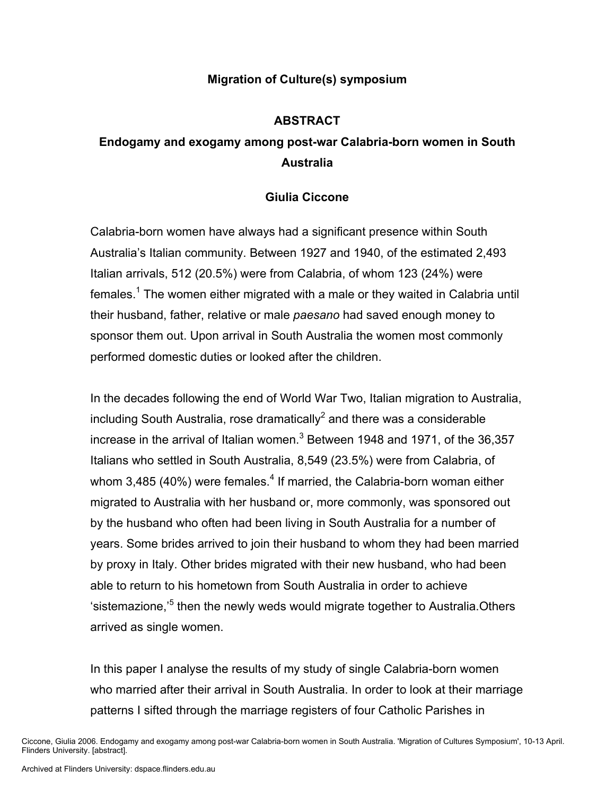## **Migration of Culture(s) symposium**

## **ABSTRACT**

## **Endogamy and exogamy among post-war Calabria-born women in South Australia**

## **Giulia Ciccone**

Calabria-born women have always had a significant presence within South Australia's Italian community. Between 1927 and 1940, of the estimated 2,493 Italian arrivals, 512 (20.5%) were from Calabria, of whom 123 (24%) were females.<sup>1</sup> The women either migrated with a male or they waited in Calabria until their husband, father, relative or male *paesano* had saved enough money to sponsor them out. Upon arrival in South Australia the women most commonly performed domestic duties or looked after the children.

In the decades following the end of World War Two, Italian migration to Australia, including South Australia, rose dramatically<sup>2</sup> and there was a considerable increase in the arrival of Italian women. $^3$  Between 1948 and 1971, of the 36,357 Italians who settled in South Australia, 8,549 (23.5%) were from Calabria, of whom 3,485 (40%) were females.<sup>4</sup> If married, the Calabria-born woman either migrated to Australia with her husband or, more commonly, was sponsored out by the husband who often had been living in South Australia for a number of years. Some brides arrived to join their husband to whom they had been married by proxy in Italy. Other brides migrated with their new husband, who had been able to return to his hometown from South Australia in order to achieve 'sistemazione,<sup>,5</sup> then the newly weds would migrate together to Australia.Others arrived as single women.

In this paper I analyse the results of my study of single Calabria-born women who married after their arrival in South Australia. In order to look at their marriage patterns I sifted through the marriage registers of four Catholic Parishes in

Ciccone, Giulia 2006. Endogamy and exogamy among post-war Calabria-born women in South Australia. 'Migration of Cultures Symposium', 10-13 April. Flinders University. [abstract].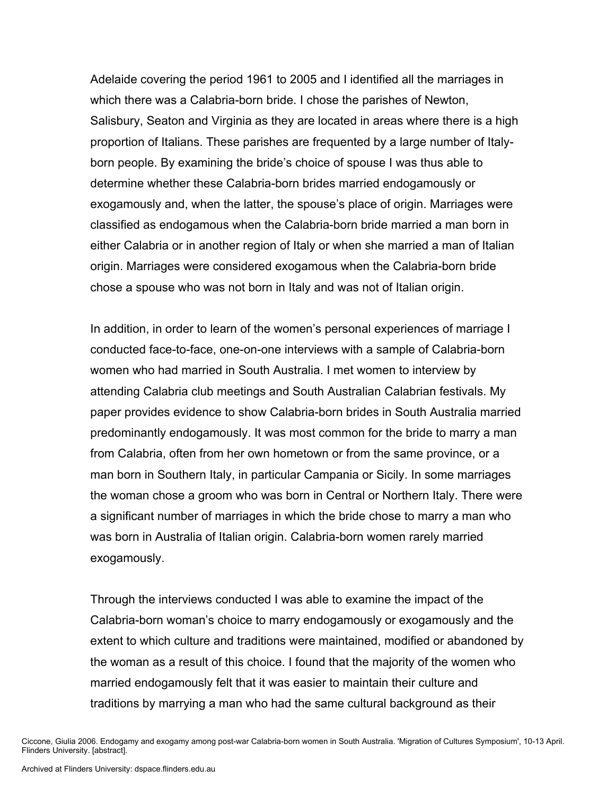Adelaide covering the period 1961 to 2005 and I identified all the marriages in which there was a Calabria-born bride. I chose the parishes of Newton, Salisbury, Seaton and Virginia as they are located in areas where there is a high proportion of Italians. These parishes are frequented by a large number of Italyborn people. By examining the bride's choice of spouse I was thus able to determine whether these Calabria-born brides married endogamously or exogamously and, when the latter, the spouse's place of origin. Marriages were classified as endogamous when the Calabria-born bride married a man born in either Calabria or in another region of Italy or when she married a man of Italian origin. Marriages were considered exogamous when the Calabria-born bride chose a spouse who was not born in Italy and was not of Italian origin.

In addition, in order to learn of the women's personal experiences of marriage I conducted face-to-face, one-on-one interviews with a sample of Calabria-born women who had married in South Australia. I met women to interview by attending Calabria club meetings and South Australian Calabrian festivals. My paper provides evidence to show Calabria-born brides in South Australia married predominantly endogamously. It was most common for the bride to marry a man from Calabria, often from her own hometown or from the same province, or a man born in Southern Italy, in particular Campania or Sicily. In some marriages the woman chose a groom who was born in Central or Northern Italy. There were a significant number of marriages in which the bride chose to marry a man who was born in Australia of Italian origin. Calabria-born women rarely married exogamously.

Through the interviews conducted I was able to examine the impact of the Calabria-born woman's choice to marry endogamously or exogamously and the extent to which culture and traditions were maintained, modified or abandoned by the woman as a result of this choice. I found that the majority of the women who married endogamously felt that it was easier to maintain their culture and traditions by marrying a man who had the same cultural background as their

Ciccone, Giulia 2006. Endogamy and exogamy among post-war Calabria-born women in South Australia. 'Migration of Cultures Symposium', 10-13 April. Flinders University. [abstract].